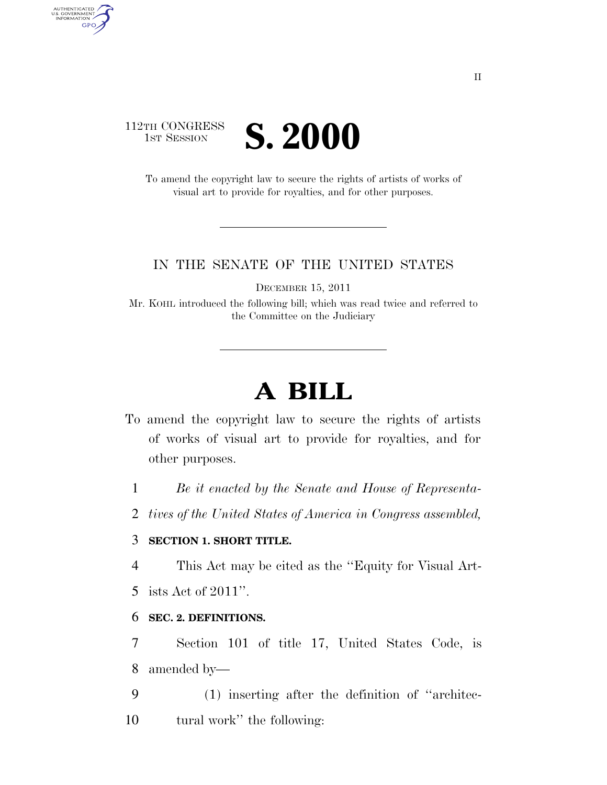# 112TH CONGRESS **IST SESSION S. 2000**

AUTHENTICATED<br>U.S. GOVERNMENT<br>INFORMATION

**GPO** 

To amend the copyright law to secure the rights of artists of works of visual art to provide for royalties, and for other purposes.

## IN THE SENATE OF THE UNITED STATES

DECEMBER 15, 2011

Mr. KOHL introduced the following bill; which was read twice and referred to the Committee on the Judiciary

# **A BILL**

- To amend the copyright law to secure the rights of artists of works of visual art to provide for royalties, and for other purposes.
	- 1 *Be it enacted by the Senate and House of Representa-*
	- 2 *tives of the United States of America in Congress assembled,*

# 3 **SECTION 1. SHORT TITLE.**

4 This Act may be cited as the ''Equity for Visual Art-

5 ists Act of 2011''.

# 6 **SEC. 2. DEFINITIONS.**

7 Section 101 of title 17, United States Code, is 8 amended by—

9 (1) inserting after the definition of ''architec-10 tural work'' the following: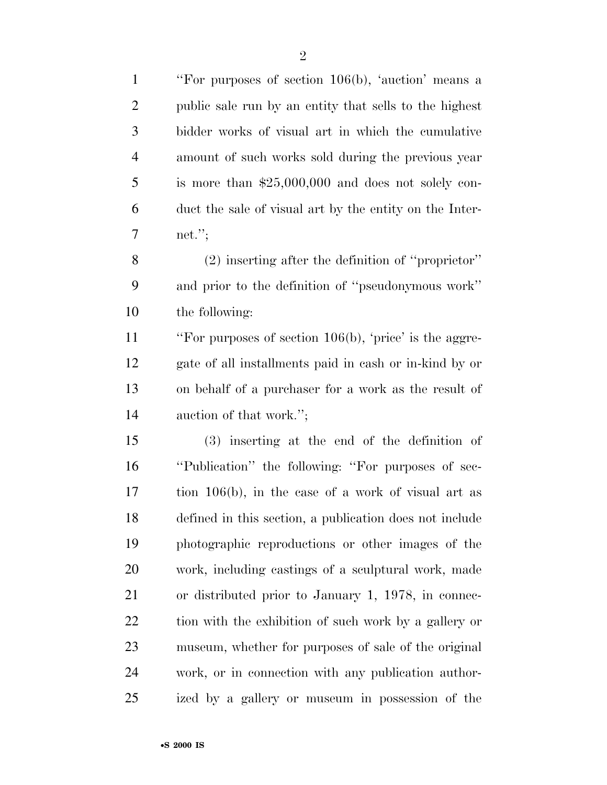| $\mathbf{1}$   | "For purposes of section 106(b), 'auction' means a      |
|----------------|---------------------------------------------------------|
| $\overline{2}$ | public sale run by an entity that sells to the highest  |
| 3              | bidder works of visual art in which the cumulative      |
| $\overline{4}$ | amount of such works sold during the previous year      |
| 5              | is more than $$25,000,000$ and does not solely con-     |
| 6              | duct the sale of visual art by the entity on the Inter- |
| $\overline{7}$ | net."                                                   |
| 8              | $(2)$ inserting after the definition of "proprietor"    |
| 9              | and prior to the definition of "pseudonymous work"      |
| 10             | the following:                                          |
| 11             | "For purposes of section 106(b), 'price' is the aggre-  |
| 12             | gate of all installments paid in cash or in-kind by or  |
| 13             | on behalf of a purchaser for a work as the result of    |
| 14             | auction of that work.";                                 |
| 15             | $(3)$ inserting at the end of the definition of         |
| 16             | "Publication" the following: "For purposes of sec-      |
| 17             | tion 106(b), in the case of a work of visual art as     |
| 18             | defined in this section, a publication does not include |
| 19             | photographic reproductions or other images of the       |
| 20             | work, including castings of a sculptural work, made     |
| 21             | or distributed prior to January 1, 1978, in connec-     |
| 22             | tion with the exhibition of such work by a gallery or   |
| 23             | museum, whether for purposes of sale of the original    |
| 24             | work, or in connection with any publication author-     |
| 25             | ized by a gallery or museum in possession of the        |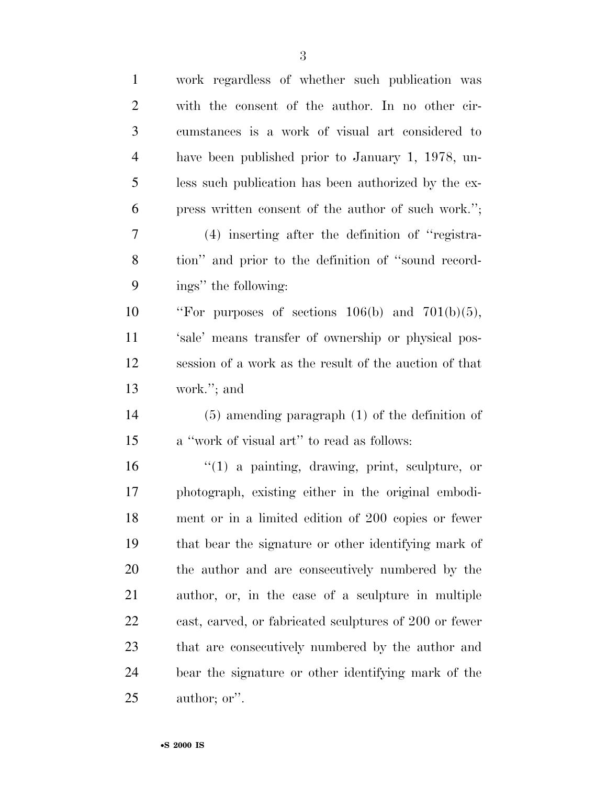| $\mathbf{1}$   | work regardless of whether such publication was        |
|----------------|--------------------------------------------------------|
| $\overline{2}$ | with the consent of the author. In no other cir-       |
| 3              | cumstances is a work of visual art considered to       |
| $\overline{4}$ | have been published prior to January 1, 1978, un-      |
| 5              | less such publication has been authorized by the ex-   |
| 6              | press written consent of the author of such work.";    |
| 7              | $(4)$ inserting after the definition of "registra-     |
| 8              | tion" and prior to the definition of "sound record-    |
| 9              | ings" the following:                                   |
| 10             | "For purposes of sections $106(b)$ and $701(b)(5)$ ,   |
| 11             | 'sale' means transfer of ownership or physical pos-    |
| 12             | session of a work as the result of the auction of that |
| 13             | work."; and                                            |
| 14             | $(5)$ amending paragraph $(1)$ of the definition of    |
| 15             | a "work of visual art" to read as follows:             |
| 16             | $(1)$ a painting, drawing, print, sculpture, or        |
| 17             | photograph, existing either in the original embodi-    |
| 18             | ment or in a limited edition of 200 copies or fewer    |
| 19             | that bear the signature or other identifying mark of   |
| 20             | the author and are consecutively numbered by the       |
| 21             | author, or, in the case of a sculpture in multiple     |
| 22             | cast, carved, or fabricated sculptures of 200 or fewer |
| 23             | that are consecutively numbered by the author and      |
| 24             | bear the signature or other identifying mark of the    |
| 25             | author; or".                                           |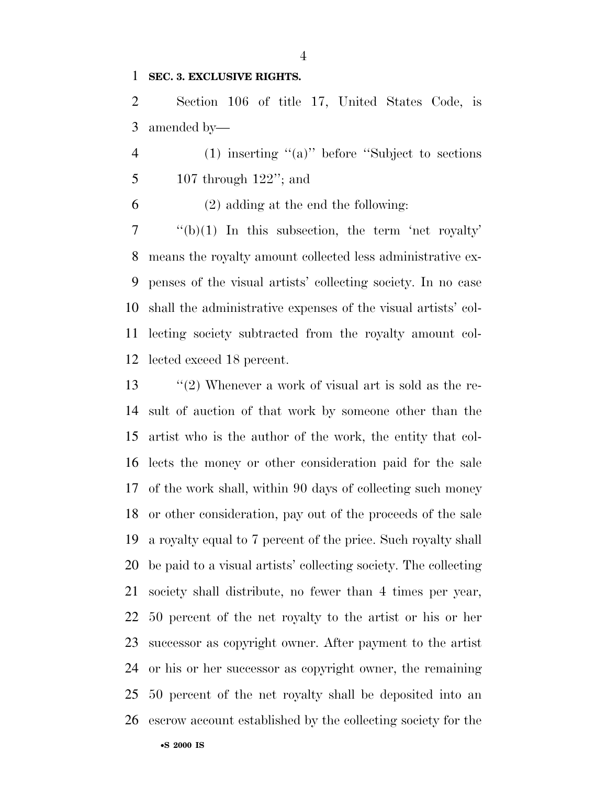#### **SEC. 3. EXCLUSIVE RIGHTS.**

 Section 106 of title 17, United States Code, is amended by—

 (1) inserting ''(a)'' before ''Subject to sections 107 through 122''; and

(2) adding at the end the following:

 ''(b)(1) In this subsection, the term 'net royalty' means the royalty amount collected less administrative ex- penses of the visual artists' collecting society. In no case shall the administrative expenses of the visual artists' col- lecting society subtracted from the royalty amount col-lected exceed 18 percent.

13 ''(2) Whenever a work of visual art is sold as the re- sult of auction of that work by someone other than the artist who is the author of the work, the entity that col- lects the money or other consideration paid for the sale of the work shall, within 90 days of collecting such money or other consideration, pay out of the proceeds of the sale a royalty equal to 7 percent of the price. Such royalty shall be paid to a visual artists' collecting society. The collecting society shall distribute, no fewer than 4 times per year, 50 percent of the net royalty to the artist or his or her successor as copyright owner. After payment to the artist or his or her successor as copyright owner, the remaining 50 percent of the net royalty shall be deposited into an escrow account established by the collecting society for the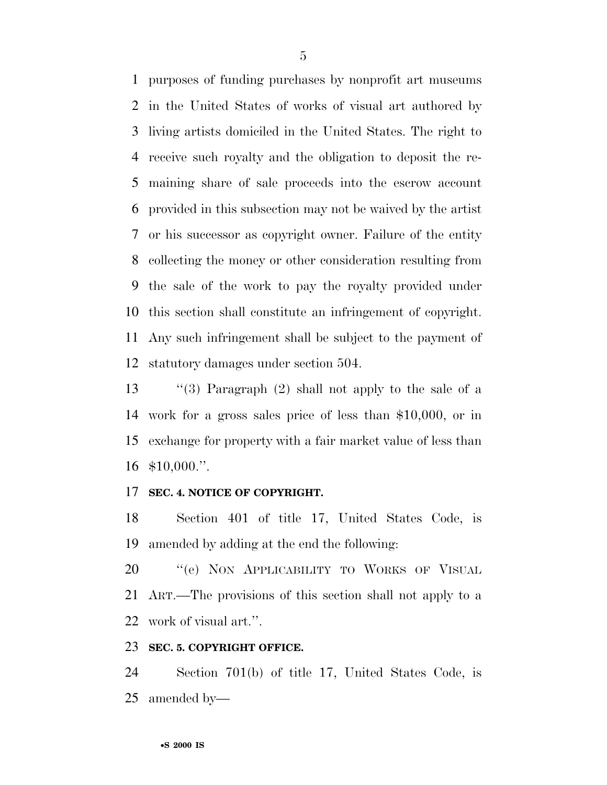purposes of funding purchases by nonprofit art museums in the United States of works of visual art authored by living artists domiciled in the United States. The right to receive such royalty and the obligation to deposit the re- maining share of sale proceeds into the escrow account provided in this subsection may not be waived by the artist or his successor as copyright owner. Failure of the entity collecting the money or other consideration resulting from the sale of the work to pay the royalty provided under this section shall constitute an infringement of copyright. Any such infringement shall be subject to the payment of statutory damages under section 504.

 ''(3) Paragraph (2) shall not apply to the sale of a work for a gross sales price of less than \$10,000, or in exchange for property with a fair market value of less than \$10,000.''.

## **SEC. 4. NOTICE OF COPYRIGHT.**

 Section 401 of title 17, United States Code, is amended by adding at the end the following:

20 "'(e) NON APPLICABILITY TO WORKS OF VISUAL ART.—The provisions of this section shall not apply to a work of visual art.''.

#### **SEC. 5. COPYRIGHT OFFICE.**

 Section 701(b) of title 17, United States Code, is amended by—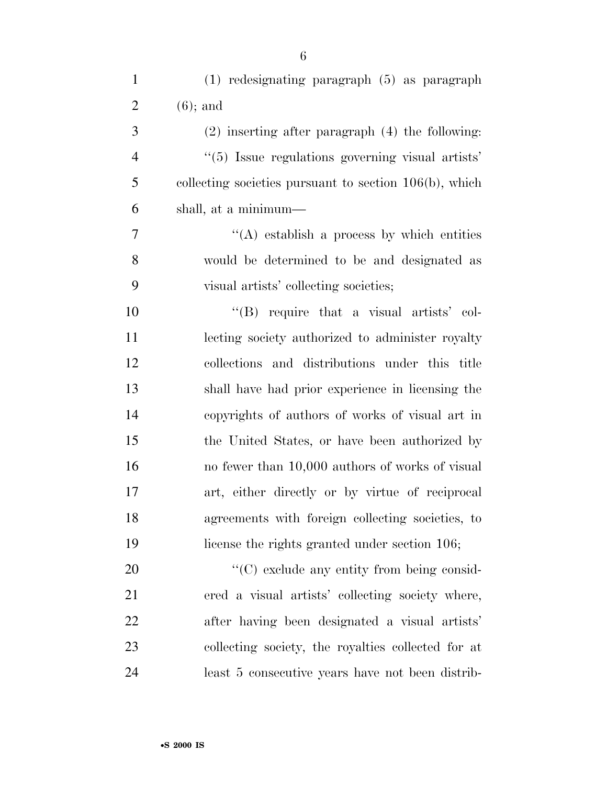| $\mathbf{1}$   | (1) redesignating paragraph (5) as paragraph              |
|----------------|-----------------------------------------------------------|
| $\overline{2}$ | $(6)$ ; and                                               |
| 3              | $(2)$ inserting after paragraph $(4)$ the following:      |
| $\overline{4}$ | "(5) Issue regulations governing visual artists"          |
| 5              | collecting societies pursuant to section $106(b)$ , which |
| 6              | shall, at a minimum—                                      |
| 7              | $\lq\lq$ establish a process by which entities            |
| 8              | would be determined to be and designated as               |
| 9              | visual artists' collecting societies;                     |
| 10             | $\lq\lq$ require that a visual artists' col-              |
| 11             | lecting society authorized to administer royalty          |
| 12             | collections and distributions under this title            |
| 13             | shall have had prior experience in licensing the          |
| 14             | copyrights of authors of works of visual art in           |
| 15             | the United States, or have been authorized by             |
| 16             | no fewer than 10,000 authors of works of visual           |
| 17             | art, either directly or by virtue of reciprocal           |
| 18             | agreements with foreign collecting societies, to          |
| 19             | license the rights granted under section 106;             |
| 20             | $\lq\lq$ exclude any entity from being consid-            |
| 21             | ered a visual artists' collecting society where,          |
| 22             | after having been designated a visual artists'            |
| 23             | collecting society, the royalties collected for at        |
| 24             | least 5 consecutive years have not been distrib-          |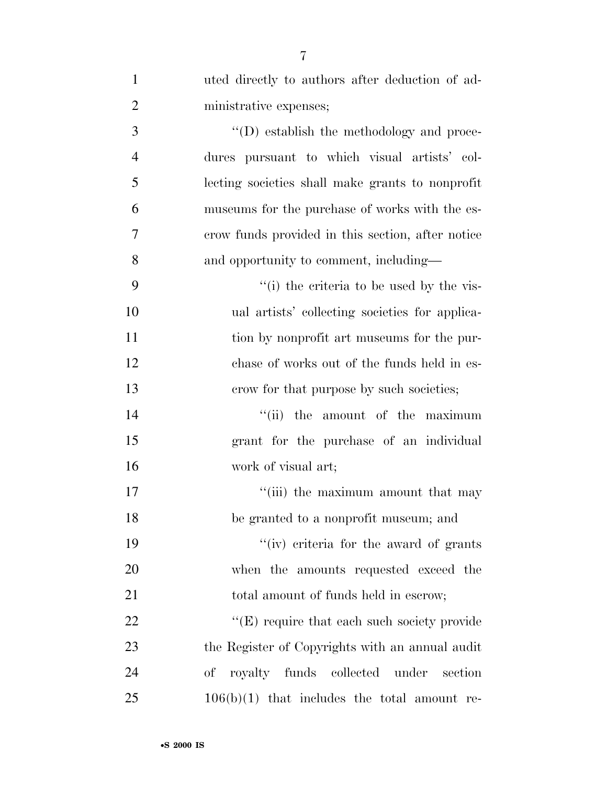| $\mathbf{1}$   | uted directly to authors after deduction of ad-   |
|----------------|---------------------------------------------------|
| $\mathbf{2}$   | ministrative expenses;                            |
| 3              | $\lq\lq$ establish the methodology and proce-     |
| $\overline{4}$ | dures pursuant to which visual artists' col-      |
| 5              | lecting societies shall make grants to nonprofit  |
| 6              | museums for the purchase of works with the es-    |
| 7              | crow funds provided in this section, after notice |
| 8              | and opportunity to comment, including—            |
| 9              | "(i) the criteria to be used by the vis-          |
| 10             | ual artists' collecting societies for applica-    |
| 11             | tion by nonprofit art museums for the pur-        |
| 12             | chase of works out of the funds held in es-       |
| 13             | crow for that purpose by such societies;          |
| 14             | "(ii) the amount of the maximum                   |
| 15             | grant for the purchase of an individual           |
| 16             | work of visual art;                               |
| 17             | "(iii) the maximum amount that may                |
| 18             | be granted to a nonprofit museum; and             |
| 19             | "(iv) criteria for the award of grants            |
| 20             | when the amounts requested exceed the             |
| 21             | total amount of funds held in escrow;             |
| 22             | "(E) require that each such society provide       |
| 23             | the Register of Copyrights with an annual audit   |
| 24             | royalty funds collected under<br>οf<br>section    |
| 25             | $106(b)(1)$ that includes the total amount re-    |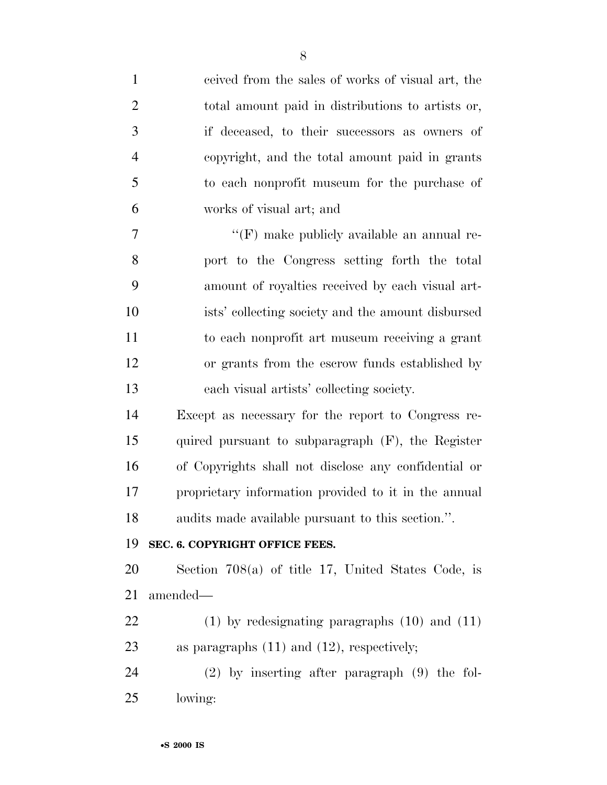| $\mathbf{1}$   | ceived from the sales of works of visual art, the    |
|----------------|------------------------------------------------------|
| $\overline{2}$ | total amount paid in distributions to artists or,    |
| 3              | if deceased, to their successors as owners of        |
| $\overline{4}$ | copyright, and the total amount paid in grants       |
| 5              | to each nonprofit museum for the purchase of         |
| 6              | works of visual art; and                             |
| 7              | $\lq\lq(F)$ make publicly available an annual re-    |
| 8              | port to the Congress setting forth the total         |
| 9              | amount of royalties received by each visual art-     |
| 10             | ists' collecting society and the amount disbursed    |
| 11             | to each nonprofit art museum receiving a grant       |
| 12             | or grants from the escrow funds established by       |
| 13             | each visual artists' collecting society.             |
| 14             | Except as necessary for the report to Congress re-   |
| 15             | quired pursuant to subparagraph $(F)$ , the Register |
| 16             | of Copyrights shall not disclose any confidential or |
| 17             | proprietary information provided to it in the annual |
| 18             | audits made available pursuant to this section.".    |
| 19             | SEC. 6. COPYRIGHT OFFICE FEES.                       |
| 20             | Section $708(a)$ of title 17, United States Code, is |
| 21             | amended—                                             |
| 22             | $(1)$ by redesignating paragraphs $(10)$ and $(11)$  |
| 23             | as paragraphs $(11)$ and $(12)$ , respectively;      |
| 24             | $(2)$ by inserting after paragraph $(9)$ the fol-    |
| 25             | lowing:                                              |